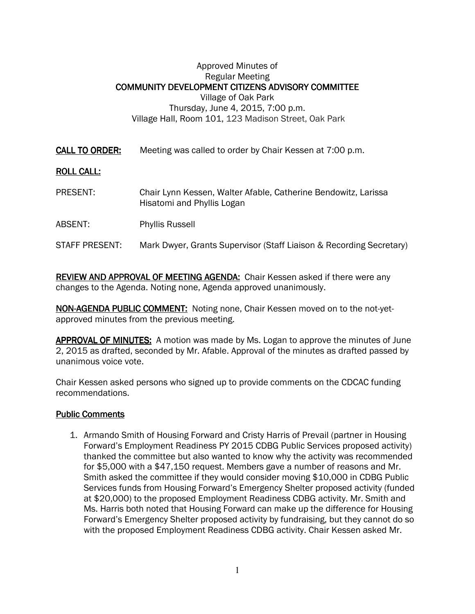## Approved Minutes of Regular Meeting COMMUNITY DEVELOPMENT CITIZENS ADVISORY COMMITTEE Village of Oak Park Thursday, June 4, 2015, 7:00 p.m. Village Hall, Room 101, 123 Madison Street, Oak Park

**CALL TO ORDER:** Meeting was called to order by Chair Kessen at 7:00 p.m.

## **ROLL CALL:**

- PRESENT: Chair Lynn Kessen, Walter Afable, Catherine Bendowitz, Larissa Hisatomi and Phyllis Logan
- ABSENT: Phyllis Russell

## STAFF PRESENT: Mark Dwyer, Grants Supervisor (Staff Liaison & Recording Secretary)

REVIEW AND APPROVAL OF MEETING AGENDA: Chair Kessen asked if there were any changes to the Agenda. Noting none, Agenda approved unanimously.

NON-AGENDA PUBLIC COMMENT: Noting none, Chair Kessen moved on to the not-yetapproved minutes from the previous meeting.

APPROVAL OF MINUTES: A motion was made by Ms. Logan to approve the minutes of June 2, 2015 as drafted, seconded by Mr. Afable. Approval of the minutes as drafted passed by unanimous voice vote.

Chair Kessen asked persons who signed up to provide comments on the CDCAC funding recommendations.

## **Public Comments**

1. Armando Smith of Housing Forward and Cristy Harris of Prevail (partner in Housing Forward's Employment Readiness PY 2015 CDBG Public Services proposed activity) thanked the committee but also wanted to know why the activity was recommended for \$5,000 with a \$47,150 request. Members gave a number of reasons and Mr. Smith asked the committee if they would consider moving \$10,000 in CDBG Public Services funds from Housing Forward's Emergency Shelter proposed activity (funded at \$20,000) to the proposed Employment Readiness CDBG activity. Mr. Smith and Ms. Harris both noted that Housing Forward can make up the difference for Housing Forward's Emergency Shelter proposed activity by fundraising, but they cannot do so with the proposed Employment Readiness CDBG activity. Chair Kessen asked Mr.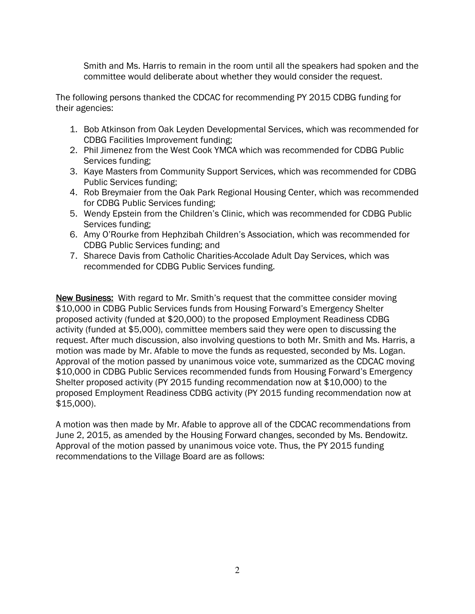Smith and Ms. Harris to remain in the room until all the speakers had spoken and the committee would deliberate about whether they would consider the request.

The following persons thanked the CDCAC for recommending PY 2015 CDBG funding for their agencies:

- 1. Bob Atkinson from Oak Leyden Developmental Services, which was recommended for CDBG Facilities Improvement funding;
- 2. Phil Jimenez from the West Cook YMCA which was recommended for CDBG Public Services funding;
- 3. Kaye Masters from Community Support Services, which was recommended for CDBG Public Services funding;
- 4. Rob Breymaier from the Oak Park Regional Housing Center, which was recommended for CDBG Public Services funding;
- 5. Wendy Epstein from the Children's Clinic, which was recommended for CDBG Public Services funding;
- 6. Amy O'Rourke from Hephzibah Children's Association, which was recommended for CDBG Public Services funding; and
- 7. Sharece Davis from Catholic Charities-Accolade Adult Day Services, which was recommended for CDBG Public Services funding.

New Business: With regard to Mr. Smith's request that the committee consider moving \$10,000 in CDBG Public Services funds from Housing Forward's Emergency Shelter proposed activity (funded at \$20,000) to the proposed Employment Readiness CDBG activity (funded at \$5,000), committee members said they were open to discussing the request. After much discussion, also involving questions to both Mr. Smith and Ms. Harris, a motion was made by Mr. Afable to move the funds as requested, seconded by Ms. Logan. Approval of the motion passed by unanimous voice vote, summarized as the CDCAC moving \$10,000 in CDBG Public Services recommended funds from Housing Forward's Emergency Shelter proposed activity (PY 2015 funding recommendation now at \$10,000) to the proposed Employment Readiness CDBG activity (PY 2015 funding recommendation now at \$15,000).

A motion was then made by Mr. Afable to approve all of the CDCAC recommendations from June 2, 2015, as amended by the Housing Forward changes, seconded by Ms. Bendowitz. Approval of the motion passed by unanimous voice vote. Thus, the PY 2015 funding recommendations to the Village Board are as follows: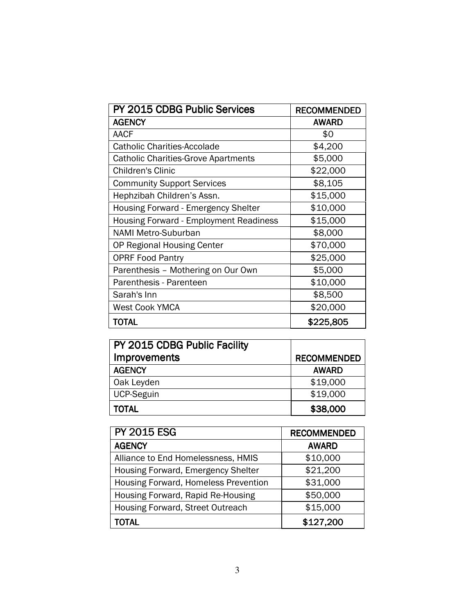| PY 2015 CDBG Public Services                  | <b>RECOMMENDED</b> |
|-----------------------------------------------|--------------------|
| <b>AGENCY</b>                                 | <b>AWARD</b>       |
| <b>AACF</b>                                   | \$0                |
| <b>Catholic Charities-Accolade</b>            | \$4,200            |
| <b>Catholic Charities-Grove Apartments</b>    | \$5,000            |
| <b>Children's Clinic</b>                      | \$22,000           |
| <b>Community Support Services</b>             | \$8,105            |
| Hephzibah Children's Assn.                    | \$15,000           |
| <b>Housing Forward - Emergency Shelter</b>    | \$10,000           |
| <b>Housing Forward - Employment Readiness</b> | \$15,000           |
| <b>NAMI Metro-Suburban</b>                    | \$8,000            |
| OP Regional Housing Center                    | \$70,000           |
| <b>OPRF Food Pantry</b>                       | \$25,000           |
| Parenthesis - Mothering on Our Own            | \$5,000            |
| Parenthesis - Parenteen                       | \$10,000           |
| Sarah's Inn                                   | \$8,500            |
| <b>West Cook YMCA</b>                         | \$20,000           |
| TOTAL                                         | \$225,805          |

| PY 2015 CDBG Public Facility |                    |
|------------------------------|--------------------|
| <b>Improvements</b>          | <b>RECOMMENDED</b> |
| <b>AGENCY</b>                | <b>AWARD</b>       |
| Oak Leyden                   | \$19,000           |
| <b>UCP-Seguin</b>            | \$19,000           |
| <b>TOTAL</b>                 | \$38,000           |

| <b>PY 2015 ESG</b>                   | <b>RECOMMENDED</b> |
|--------------------------------------|--------------------|
| <b>AGENCY</b>                        | <b>AWARD</b>       |
| Alliance to End Homelessness, HMIS   | \$10,000           |
| Housing Forward, Emergency Shelter   | \$21,200           |
| Housing Forward, Homeless Prevention | \$31,000           |
| Housing Forward, Rapid Re-Housing    | \$50,000           |
| Housing Forward, Street Outreach     | \$15,000           |
| TOTAL                                | \$127,200          |